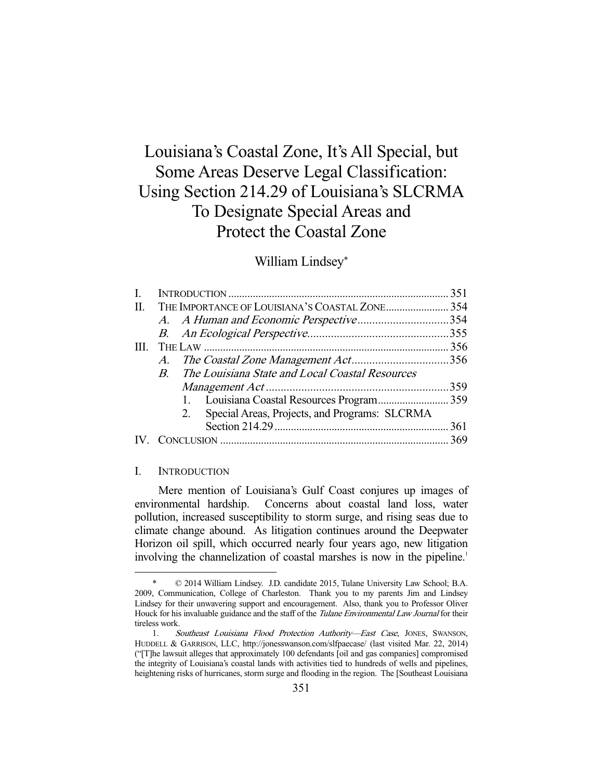# Louisiana's Coastal Zone, It's All Special, but Some Areas Deserve Legal Classification: Using Section 214.29 of Louisiana's SLCRMA To Designate Special Areas and Protect the Coastal Zone

## William Lindsey\*

| $B_{\cdot}$ | The Louisiana State and Local Coastal Resources     |                                              |
|-------------|-----------------------------------------------------|----------------------------------------------|
|             |                                                     |                                              |
|             |                                                     |                                              |
|             | Special Areas, Projects, and Programs: SLCRMA<br>2. |                                              |
|             |                                                     |                                              |
|             |                                                     |                                              |
|             |                                                     | A. A Human and Economic Perspective354<br>A. |

## I. INTRODUCTION

-

 Mere mention of Louisiana's Gulf Coast conjures up images of environmental hardship. Concerns about coastal land loss, water pollution, increased susceptibility to storm surge, and rising seas due to climate change abound. As litigation continues around the Deepwater Horizon oil spill, which occurred nearly four years ago, new litigation involving the channelization of coastal marshes is now in the pipeline.<sup>1</sup>

 $©$  2014 William Lindsey. J.D. candidate 2015, Tulane University Law School; B.A. 2009, Communication, College of Charleston. Thank you to my parents Jim and Lindsey Lindsey for their unwavering support and encouragement. Also, thank you to Professor Oliver Houck for his invaluable guidance and the staff of the Tulane Environmental Law Journal for their tireless work.

<sup>1.</sup> Southeast Louisiana Flood Protection Authority-East Case, JONES, SWANSON, HUDDELL & GARRISON, LLC, http://jonesswanson.com/slfpaecase/ (last visited Mar. 22, 2014) ("[T]he lawsuit alleges that approximately 100 defendants [oil and gas companies] compromised the integrity of Louisiana's coastal lands with activities tied to hundreds of wells and pipelines, heightening risks of hurricanes, storm surge and flooding in the region. The [Southeast Louisiana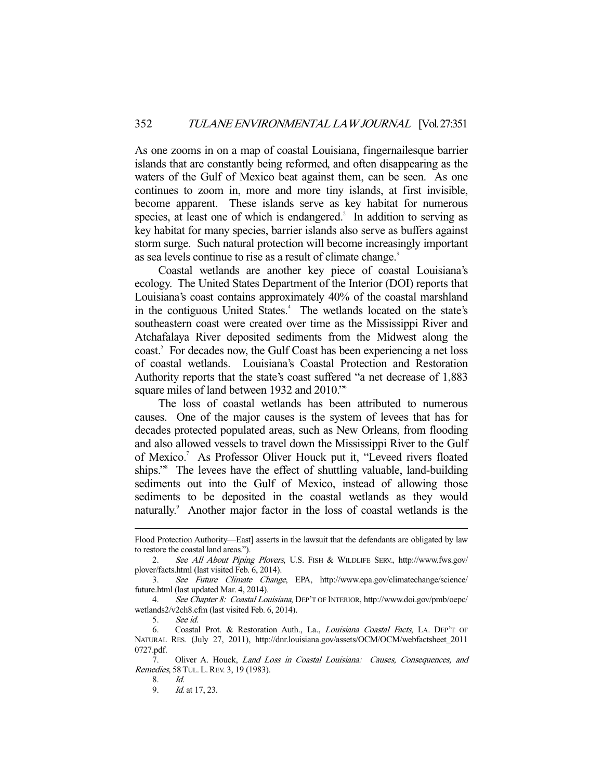As one zooms in on a map of coastal Louisiana, fingernailesque barrier islands that are constantly being reformed, and often disappearing as the waters of the Gulf of Mexico beat against them, can be seen. As one continues to zoom in, more and more tiny islands, at first invisible, become apparent. These islands serve as key habitat for numerous species, at least one of which is endangered.<sup>2</sup> In addition to serving as key habitat for many species, barrier islands also serve as buffers against storm surge. Such natural protection will become increasingly important as sea levels continue to rise as a result of climate change.<sup>3</sup>

 Coastal wetlands are another key piece of coastal Louisiana's ecology. The United States Department of the Interior (DOI) reports that Louisiana's coast contains approximately 40% of the coastal marshland in the contiguous United States.<sup>4</sup> The wetlands located on the state's southeastern coast were created over time as the Mississippi River and Atchafalaya River deposited sediments from the Midwest along the coast.<sup>5</sup> For decades now, the Gulf Coast has been experiencing a net loss of coastal wetlands. Louisiana's Coastal Protection and Restoration Authority reports that the state's coast suffered "a net decrease of 1,883 square miles of land between 1932 and 2010."<sup>6</sup>

 The loss of coastal wetlands has been attributed to numerous causes. One of the major causes is the system of levees that has for decades protected populated areas, such as New Orleans, from flooding and also allowed vessels to travel down the Mississippi River to the Gulf of Mexico.<sup>7</sup> As Professor Oliver Houck put it, "Leveed rivers floated ships."<sup>8</sup> The levees have the effect of shuttling valuable, land-building sediments out into the Gulf of Mexico, instead of allowing those sediments to be deposited in the coastal wetlands as they would naturally.<sup>9</sup> Another major factor in the loss of coastal wetlands is the

Flood Protection Authority—East] asserts in the lawsuit that the defendants are obligated by law to restore the coastal land areas.").

 <sup>2.</sup> See All About Piping Plovers, U.S. FISH & WILDLIFE SERV., http://www.fws.gov/ plover/facts.html (last visited Feb. 6, 2014).

 <sup>3.</sup> See Future Climate Change, EPA, http://www.epa.gov/climatechange/science/ future.html (last updated Mar. 4, 2014).

 <sup>4.</sup> See Chapter 8: Coastal Louisiana, DEP'T OF INTERIOR, http://www.doi.gov/pmb/oepc/ wetlands2/v2ch8.cfm (last visited Feb. 6, 2014).

 <sup>5.</sup> See id.

 <sup>6.</sup> Coastal Prot. & Restoration Auth., La., Louisiana Coastal Facts, LA. DEP'T OF NATURAL RES. (July 27, 2011), http://dnr.louisiana.gov/assets/OCM/OCM/webfactsheet\_2011 0727.pdf.

<sup>7.</sup> Oliver A. Houck, Land Loss in Coastal Louisiana: Causes, Consequences, and Remedies, 58 TUL. L. REV. 3, 19 (1983).

<sup>8.</sup> *Id.*<br>9. *Id.* 

*Id.* at 17, 23.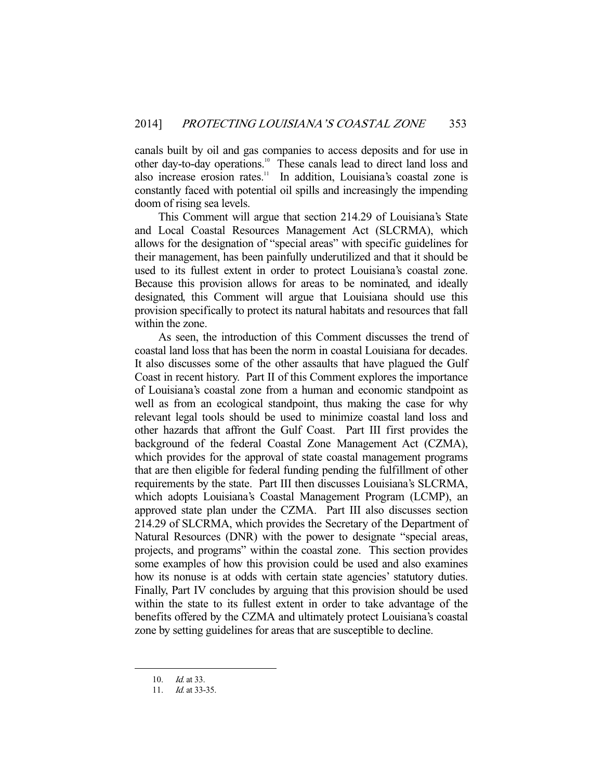canals built by oil and gas companies to access deposits and for use in other day-to-day operations.<sup>10</sup> These canals lead to direct land loss and also increase erosion rates.<sup>11</sup> In addition, Louisiana's coastal zone is constantly faced with potential oil spills and increasingly the impending doom of rising sea levels.

 This Comment will argue that section 214.29 of Louisiana's State and Local Coastal Resources Management Act (SLCRMA), which allows for the designation of "special areas" with specific guidelines for their management, has been painfully underutilized and that it should be used to its fullest extent in order to protect Louisiana's coastal zone. Because this provision allows for areas to be nominated, and ideally designated, this Comment will argue that Louisiana should use this provision specifically to protect its natural habitats and resources that fall within the zone.

 As seen, the introduction of this Comment discusses the trend of coastal land loss that has been the norm in coastal Louisiana for decades. It also discusses some of the other assaults that have plagued the Gulf Coast in recent history. Part II of this Comment explores the importance of Louisiana's coastal zone from a human and economic standpoint as well as from an ecological standpoint, thus making the case for why relevant legal tools should be used to minimize coastal land loss and other hazards that affront the Gulf Coast. Part III first provides the background of the federal Coastal Zone Management Act (CZMA), which provides for the approval of state coastal management programs that are then eligible for federal funding pending the fulfillment of other requirements by the state. Part III then discusses Louisiana's SLCRMA, which adopts Louisiana's Coastal Management Program (LCMP), an approved state plan under the CZMA. Part III also discusses section 214.29 of SLCRMA, which provides the Secretary of the Department of Natural Resources (DNR) with the power to designate "special areas, projects, and programs" within the coastal zone. This section provides some examples of how this provision could be used and also examines how its nonuse is at odds with certain state agencies' statutory duties. Finally, Part IV concludes by arguing that this provision should be used within the state to its fullest extent in order to take advantage of the benefits offered by the CZMA and ultimately protect Louisiana's coastal zone by setting guidelines for areas that are susceptible to decline.

 <sup>10.</sup> Id. at 33.

<sup>11.</sup> *Id.* at 33-35.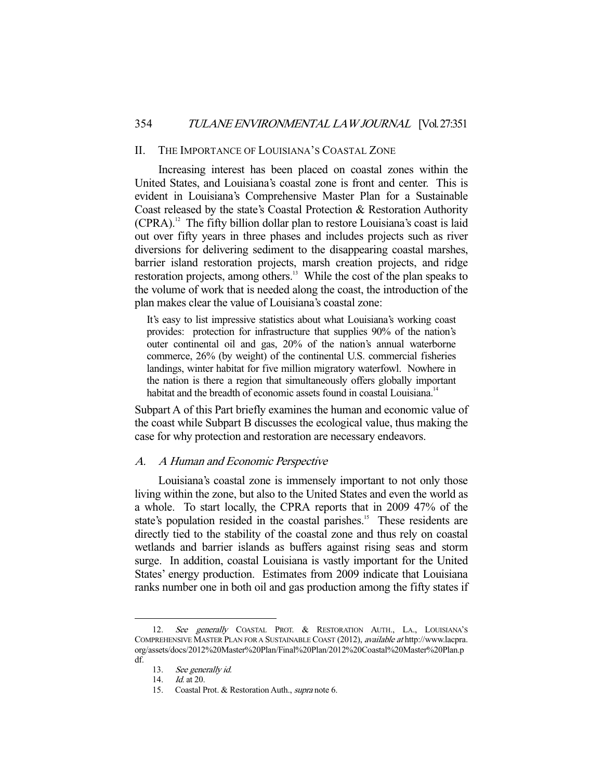#### II. THE IMPORTANCE OF LOUISIANA'S COASTAL ZONE

 Increasing interest has been placed on coastal zones within the United States, and Louisiana's coastal zone is front and center. This is evident in Louisiana's Comprehensive Master Plan for a Sustainable Coast released by the state's Coastal Protection & Restoration Authority  $(CPRA).<sup>12</sup>$  The fifty billion dollar plan to restore Louisiana's coast is laid out over fifty years in three phases and includes projects such as river diversions for delivering sediment to the disappearing coastal marshes, barrier island restoration projects, marsh creation projects, and ridge restoration projects, among others.<sup>13</sup> While the cost of the plan speaks to the volume of work that is needed along the coast, the introduction of the plan makes clear the value of Louisiana's coastal zone:

It's easy to list impressive statistics about what Louisiana's working coast provides: protection for infrastructure that supplies 90% of the nation's outer continental oil and gas, 20% of the nation's annual waterborne commerce, 26% (by weight) of the continental U.S. commercial fisheries landings, winter habitat for five million migratory waterfowl. Nowhere in the nation is there a region that simultaneously offers globally important habitat and the breadth of economic assets found in coastal Louisiana.<sup>14</sup>

Subpart A of this Part briefly examines the human and economic value of the coast while Subpart B discusses the ecological value, thus making the case for why protection and restoration are necessary endeavors.

## A. A Human and Economic Perspective

 Louisiana's coastal zone is immensely important to not only those living within the zone, but also to the United States and even the world as a whole. To start locally, the CPRA reports that in 2009 47% of the state's population resided in the coastal parishes.<sup>15</sup> These residents are directly tied to the stability of the coastal zone and thus rely on coastal wetlands and barrier islands as buffers against rising seas and storm surge. In addition, coastal Louisiana is vastly important for the United States' energy production. Estimates from 2009 indicate that Louisiana ranks number one in both oil and gas production among the fifty states if

<sup>12.</sup> See generally COASTAL PROT. & RESTORATION AUTH., LA., LOUISIANA'S COMPREHENSIVE MASTER PLAN FOR A SUSTAINABLE COAST (2012), available at http://www.lacpra. org/assets/docs/2012%20Master%20Plan/Final%20Plan/2012%20Coastal%20Master%20Plan.p df.

 <sup>13.</sup> See generally id.

 <sup>14.</sup> Id. at 20.

<sup>15.</sup> Coastal Prot. & Restoration Auth., *supra* note 6.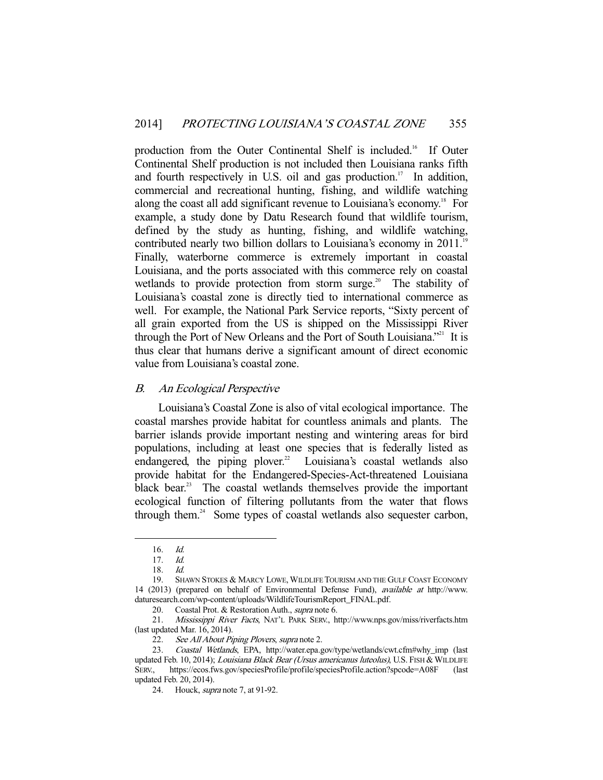production from the Outer Continental Shelf is included.<sup>16</sup> If Outer Continental Shelf production is not included then Louisiana ranks fifth and fourth respectively in U.S. oil and gas production.<sup>17</sup> In addition, commercial and recreational hunting, fishing, and wildlife watching along the coast all add significant revenue to Louisiana's economy.<sup>18</sup> For example, a study done by Datu Research found that wildlife tourism, defined by the study as hunting, fishing, and wildlife watching, contributed nearly two billion dollars to Louisiana's economy in 2011.<sup>19</sup> Finally, waterborne commerce is extremely important in coastal Louisiana, and the ports associated with this commerce rely on coastal wetlands to provide protection from storm surge.<sup>20</sup> The stability of Louisiana's coastal zone is directly tied to international commerce as well. For example, the National Park Service reports, "Sixty percent of all grain exported from the US is shipped on the Mississippi River through the Port of New Orleans and the Port of South Louisiana."<sup>21</sup> It is thus clear that humans derive a significant amount of direct economic value from Louisiana's coastal zone.

#### B. An Ecological Perspective

 Louisiana's Coastal Zone is also of vital ecological importance. The coastal marshes provide habitat for countless animals and plants. The barrier islands provide important nesting and wintering areas for bird populations, including at least one species that is federally listed as endangered, the piping plover.<sup>22</sup> Louisiana's coastal wetlands also provide habitat for the Endangered-Species-Act-threatened Louisiana black bear.<sup>23</sup> The coastal wetlands themselves provide the important ecological function of filtering pollutants from the water that flows through them.<sup>24</sup> Some types of coastal wetlands also sequester carbon,

 <sup>16.</sup> Id.

 <sup>17.</sup> Id.

 <sup>18.</sup> Id.

 <sup>19.</sup> SHAWN STOKES & MARCY LOWE, WILDLIFE TOURISM AND THE GULF COAST ECONOMY 14 (2013) (prepared on behalf of Environmental Defense Fund), available at http://www. daturesearch.com/wp-content/uploads/WildlifeTourismReport\_FINAL.pdf.

<sup>20.</sup> Coastal Prot. & Restoration Auth., supra note 6.

 <sup>21.</sup> Mississippi River Facts, NAT'L PARK SERV., http://www.nps.gov/miss/riverfacts.htm (last updated Mar. 16, 2014).

<sup>22.</sup> See All About Piping Plovers, supra note 2.

 <sup>23.</sup> Coastal Wetlands, EPA, http://water.epa.gov/type/wetlands/cwt.cfm#why\_imp (last updated Feb. 10, 2014); Louisiana Black Bear (Ursus americanus luteolus), U.S. FISH & WILDLIFE SERV., https://ecos.fws.gov/speciesProfile/profile/speciesProfile.action?spcode=A08F (last updated Feb. 20, 2014).

 <sup>24.</sup> Houck, supra note 7, at 91-92.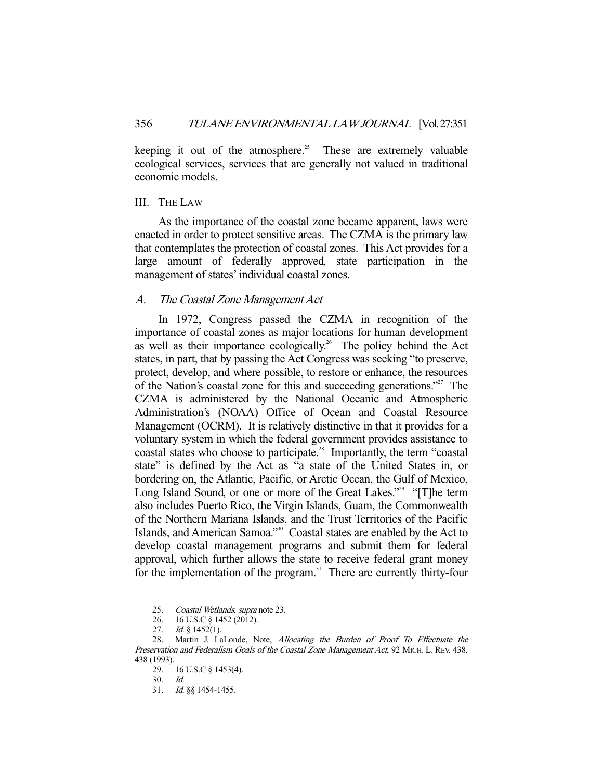keeping it out of the atmosphere.<sup>25</sup> These are extremely valuable ecological services, services that are generally not valued in traditional economic models.

## III. THE LAW

 As the importance of the coastal zone became apparent, laws were enacted in order to protect sensitive areas. The CZMA is the primary law that contemplates the protection of coastal zones. This Act provides for a large amount of federally approved, state participation in the management of states' individual coastal zones.

## A. The Coastal Zone Management Act

 In 1972, Congress passed the CZMA in recognition of the importance of coastal zones as major locations for human development as well as their importance ecologically.<sup>26</sup> The policy behind the Act states, in part, that by passing the Act Congress was seeking "to preserve, protect, develop, and where possible, to restore or enhance, the resources of the Nation's coastal zone for this and succeeding generations."27 The CZMA is administered by the National Oceanic and Atmospheric Administration's (NOAA) Office of Ocean and Coastal Resource Management (OCRM). It is relatively distinctive in that it provides for a voluntary system in which the federal government provides assistance to coastal states who choose to participate.<sup>28</sup> Importantly, the term "coastal state" is defined by the Act as "a state of the United States in, or bordering on, the Atlantic, Pacific, or Arctic Ocean, the Gulf of Mexico, Long Island Sound, or one or more of the Great Lakes."<sup>29</sup> "[T]he term also includes Puerto Rico, the Virgin Islands, Guam, the Commonwealth of the Northern Mariana Islands, and the Trust Territories of the Pacific Islands, and American Samoa."30 Coastal states are enabled by the Act to develop coastal management programs and submit them for federal approval, which further allows the state to receive federal grant money for the implementation of the program.<sup>31</sup> There are currently thirty-four

 <sup>25.</sup> Coastal Wetlands, supra note 23.

 <sup>26. 16</sup> U.S.C § 1452 (2012).

<sup>27.</sup> *Id.* § 1452(1).

 <sup>28.</sup> Martin J. LaLonde, Note, Allocating the Burden of Proof To Effectuate the Preservation and Federalism Goals of the Coastal Zone Management Act, 92 MICH. L. REV. 438, 438 (1993).

 <sup>29. 16</sup> U.S.C § 1453(4).

 <sup>30.</sup> Id.

 <sup>31.</sup> Id. §§ 1454-1455.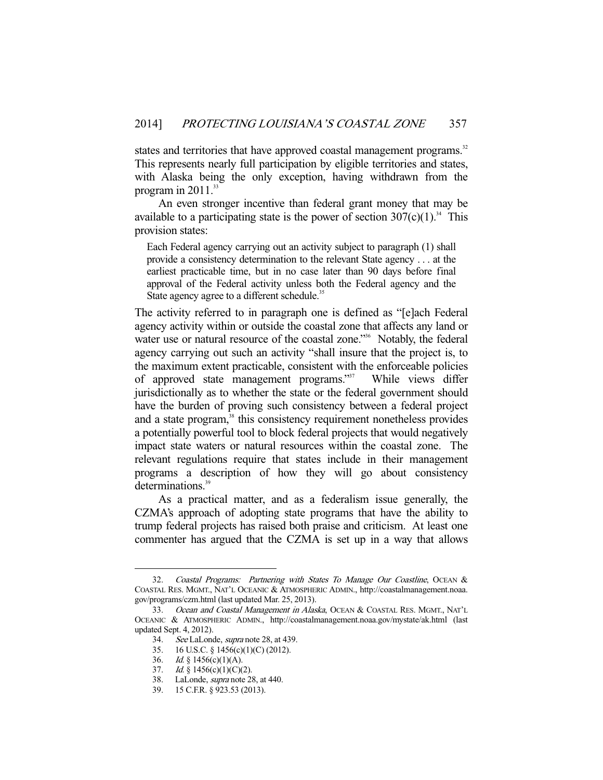states and territories that have approved coastal management programs.<sup>32</sup> This represents nearly full participation by eligible territories and states, with Alaska being the only exception, having withdrawn from the program in  $2011^{33}$ 

 An even stronger incentive than federal grant money that may be available to a participating state is the power of section  $307(c)(1)^{34}$ . This provision states:

Each Federal agency carrying out an activity subject to paragraph (1) shall provide a consistency determination to the relevant State agency . . . at the earliest practicable time, but in no case later than 90 days before final approval of the Federal activity unless both the Federal agency and the State agency agree to a different schedule.<sup>35</sup>

The activity referred to in paragraph one is defined as "[e]ach Federal agency activity within or outside the coastal zone that affects any land or water use or natural resource of the coastal zone."<sup>36</sup> Notably, the federal agency carrying out such an activity "shall insure that the project is, to the maximum extent practicable, consistent with the enforceable policies of approved state management programs."37 While views differ jurisdictionally as to whether the state or the federal government should have the burden of proving such consistency between a federal project and a state program,<sup>38</sup> this consistency requirement nonetheless provides a potentially powerful tool to block federal projects that would negatively impact state waters or natural resources within the coastal zone. The relevant regulations require that states include in their management programs a description of how they will go about consistency determinations.<sup>39</sup>

 As a practical matter, and as a federalism issue generally, the CZMA's approach of adopting state programs that have the ability to trump federal projects has raised both praise and criticism. At least one commenter has argued that the CZMA is set up in a way that allows

 <sup>32.</sup> Coastal Programs: Partnering with States To Manage Our Coastline, OCEAN & COASTAL RES. MGMT., NAT'L OCEANIC & ATMOSPHERIC ADMIN., http://coastalmanagement.noaa. gov/programs/czm.html (last updated Mar. 25, 2013).

<sup>33.</sup> Ocean and Coastal Management in Alaska, OCEAN & COASTAL RES. MGMT., NAT'L OCEANIC & ATMOSPHERIC ADMIN., http://coastalmanagement.noaa.gov/mystate/ak.html (last updated Sept. 4, 2012).

 <sup>34.</sup> See LaLonde, supra note 28, at 439.

 <sup>35. 16</sup> U.S.C. § 1456(c)(1)(C) (2012).

<sup>36.</sup> *Id.* § 1456(c)(1)(A).

<sup>37.</sup> Id.  $\S$  1456(c)(1)(C)(2).

<sup>38.</sup> LaLonde, *supra* note 28, at 440.

 <sup>39. 15</sup> C.F.R. § 923.53 (2013).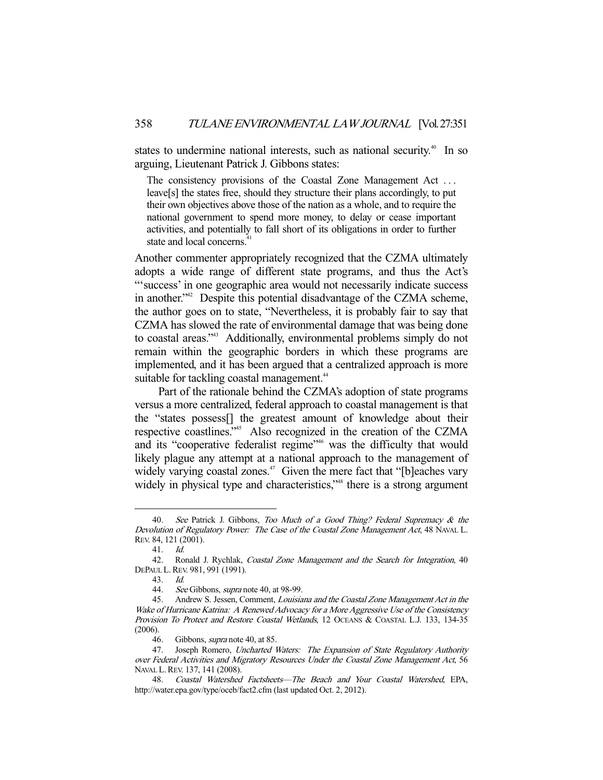states to undermine national interests, such as national security.<sup>40</sup> In so arguing, Lieutenant Patrick J. Gibbons states:

The consistency provisions of the Coastal Zone Management Act . . . leave[s] the states free, should they structure their plans accordingly, to put their own objectives above those of the nation as a whole, and to require the national government to spend more money, to delay or cease important activities, and potentially to fall short of its obligations in order to further state and local concerns.

Another commenter appropriately recognized that the CZMA ultimately adopts a wide range of different state programs, and thus the Act's "'success' in one geographic area would not necessarily indicate success in another."<sup>42</sup> Despite this potential disadvantage of the CZMA scheme, the author goes on to state, "Nevertheless, it is probably fair to say that CZMA has slowed the rate of environmental damage that was being done to coastal areas."<sup>43</sup> Additionally, environmental problems simply do not remain within the geographic borders in which these programs are implemented, and it has been argued that a centralized approach is more suitable for tackling coastal management.<sup>44</sup>

 Part of the rationale behind the CZMA's adoption of state programs versus a more centralized, federal approach to coastal management is that the "states possess[] the greatest amount of knowledge about their respective coastlines."45 Also recognized in the creation of the CZMA and its "cooperative federalist regime"<sup>46</sup> was the difficulty that would likely plague any attempt at a national approach to the management of widely varying coastal zones.<sup>47</sup> Given the mere fact that "[b]eaches vary widely in physical type and characteristics,"<sup>48</sup> there is a strong argument

<sup>40.</sup> See Patrick J. Gibbons, Too Much of a Good Thing? Federal Supremacy & the Devolution of Regulatory Power: The Case of the Coastal Zone Management Act, 48 NAVAL L. REV. 84, 121 (2001).

 <sup>41.</sup> Id.

<sup>42.</sup> Ronald J. Rychlak, *Coastal Zone Management and the Search for Integration*, 40 DEPAUL L.REV. 981, 991 (1991).

 <sup>43.</sup> Id.

<sup>44.</sup> See Gibbons, *supra* note 40, at 98-99.

 <sup>45.</sup> Andrew S. Jessen, Comment, Louisiana and the Coastal Zone Management Act in the Wake of Hurricane Katrina: A Renewed Advocacy for a More Aggressive Use of the Consistency Provision To Protect and Restore Coastal Wetlands, 12 OCEANS & COASTAL L.J. 133, 134-35 (2006).

<sup>46.</sup> Gibbons, *supra* note 40, at 85.

<sup>47.</sup> Joseph Romero, Uncharted Waters: The Expansion of State Regulatory Authority over Federal Activities and Migratory Resources Under the Coastal Zone Management Act, 56 NAVAL L.REV. 137, 141 (2008).

 <sup>48.</sup> Coastal Watershed Factsheets—The Beach and Your Coastal Watershed, EPA, http://water.epa.gov/type/oceb/fact2.cfm (last updated Oct. 2, 2012).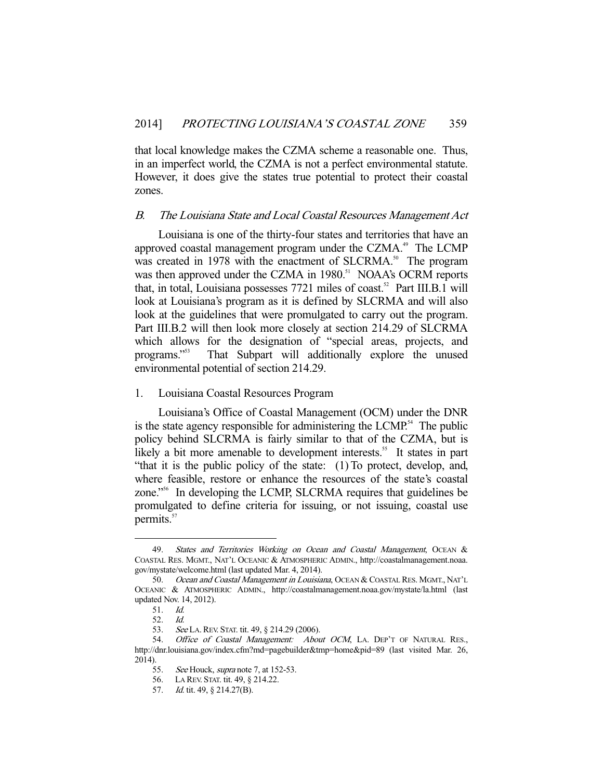that local knowledge makes the CZMA scheme a reasonable one. Thus, in an imperfect world, the CZMA is not a perfect environmental statute. However, it does give the states true potential to protect their coastal zones.

## B. The Louisiana State and Local Coastal Resources Management Act

 Louisiana is one of the thirty-four states and territories that have an approved coastal management program under the CZMA.<sup>49</sup> The LCMP was created in 1978 with the enactment of SLCRMA.<sup>50</sup> The program was then approved under the CZMA in 1980.<sup>51</sup> NOAA's OCRM reports that, in total, Louisiana possesses  $7721$  miles of coast.<sup>52</sup> Part III.B.1 will look at Louisiana's program as it is defined by SLCRMA and will also look at the guidelines that were promulgated to carry out the program. Part III.B.2 will then look more closely at section 214.29 of SLCRMA which allows for the designation of "special areas, projects, and programs."53 That Subpart will additionally explore the unused environmental potential of section 214.29.

### 1. Louisiana Coastal Resources Program

 Louisiana's Office of Coastal Management (OCM) under the DNR is the state agency responsible for administering the LCMP.<sup>54</sup> The public policy behind SLCRMA is fairly similar to that of the CZMA, but is likely a bit more amenable to development interests.<sup>55</sup> It states in part "that it is the public policy of the state: (1) To protect, develop, and, where feasible, restore or enhance the resources of the state's coastal zone."56 In developing the LCMP, SLCRMA requires that guidelines be promulgated to define criteria for issuing, or not issuing, coastal use permits.<sup>57</sup>

<sup>49.</sup> States and Territories Working on Ocean and Coastal Management, OCEAN & COASTAL RES. MGMT., NAT'L OCEANIC & ATMOSPHERIC ADMIN., http://coastalmanagement.noaa. gov/mystate/welcome.html (last updated Mar. 4, 2014).

<sup>50.</sup> Ocean and Coastal Management in Louisiana, OCEAN & COASTAL RES. MGMT., NAT'L OCEANIC & ATMOSPHERIC ADMIN., http://coastalmanagement.noaa.gov/mystate/la.html (last updated Nov. 14, 2012).

 <sup>51.</sup> Id.

 <sup>52.</sup> Id.

<sup>53.</sup> See LA. REV. STAT. tit. 49, § 214.29 (2006).

<sup>54.</sup> Office of Coastal Management: About OCM, LA. DEP'T OF NATURAL RES., http://dnr.louisiana.gov/index.cfm?md=pagebuilder&tmp=home&pid=89 (last visited Mar. 26, 2014).

<sup>55.</sup> See Houck, supra note 7, at 152-53.

 <sup>56.</sup> LA REV. STAT. tit. 49, § 214.22.

<sup>57.</sup> *Id.* tit. 49, § 214.27(B).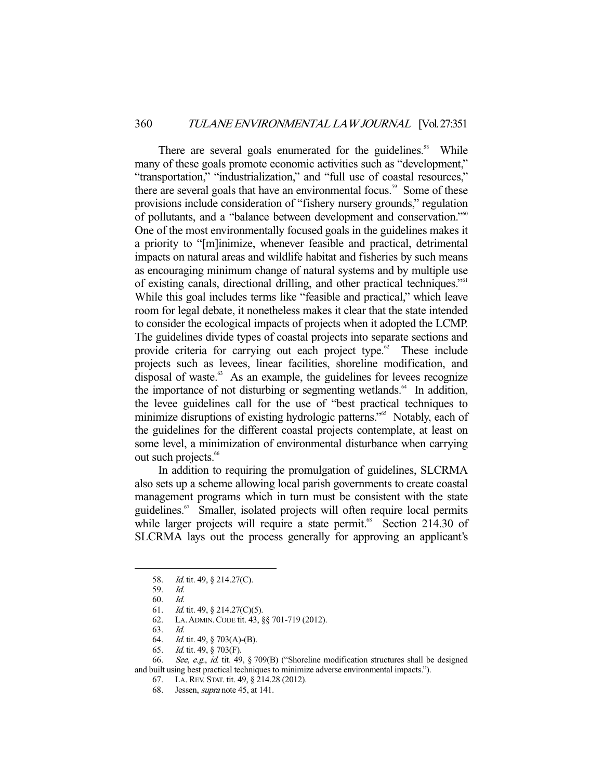There are several goals enumerated for the guidelines.<sup>58</sup> While many of these goals promote economic activities such as "development," "transportation," "industrialization," and "full use of coastal resources," there are several goals that have an environmental focus.<sup>59</sup> Some of these provisions include consideration of "fishery nursery grounds," regulation of pollutants, and a "balance between development and conservation."<sup>60</sup> One of the most environmentally focused goals in the guidelines makes it a priority to "[m]inimize, whenever feasible and practical, detrimental impacts on natural areas and wildlife habitat and fisheries by such means as encouraging minimum change of natural systems and by multiple use of existing canals, directional drilling, and other practical techniques."61 While this goal includes terms like "feasible and practical," which leave room for legal debate, it nonetheless makes it clear that the state intended to consider the ecological impacts of projects when it adopted the LCMP. The guidelines divide types of coastal projects into separate sections and provide criteria for carrying out each project type.<sup>62</sup> These include projects such as levees, linear facilities, shoreline modification, and disposal of waste. $63$  As an example, the guidelines for levees recognize the importance of not disturbing or segmenting wetlands.<sup>64</sup> In addition, the levee guidelines call for the use of "best practical techniques to minimize disruptions of existing hydrologic patterns."<sup>65</sup> Notably, each of the guidelines for the different coastal projects contemplate, at least on some level, a minimization of environmental disturbance when carrying out such projects.<sup>66</sup>

 In addition to requiring the promulgation of guidelines, SLCRMA also sets up a scheme allowing local parish governments to create coastal management programs which in turn must be consistent with the state guidelines.<sup>67</sup> Smaller, isolated projects will often require local permits while larger projects will require a state permit.<sup>68</sup> Section 214.30 of SLCRMA lays out the process generally for approving an applicant's

-

65. Id. tit. 49, § 703(F).

<sup>58.</sup> *Id.* tit. 49, § 214.27(C).

 <sup>59.</sup> Id.

 <sup>60.</sup> Id.

 <sup>61.</sup> Id. tit. 49, § 214.27(C)(5).

 <sup>62.</sup> LA.ADMIN.CODE tit. 43, §§ 701-719 (2012).

 <sup>63.</sup> Id.

 <sup>64.</sup> Id. tit. 49, § 703(A)-(B).

<sup>66.</sup> See, e.g., id. tit. 49, § 709(B) ("Shoreline modification structures shall be designed and built using best practical techniques to minimize adverse environmental impacts.").

 <sup>67.</sup> LA. REV. STAT. tit. 49, § 214.28 (2012).

 <sup>68.</sup> Jessen, supra note 45, at 141.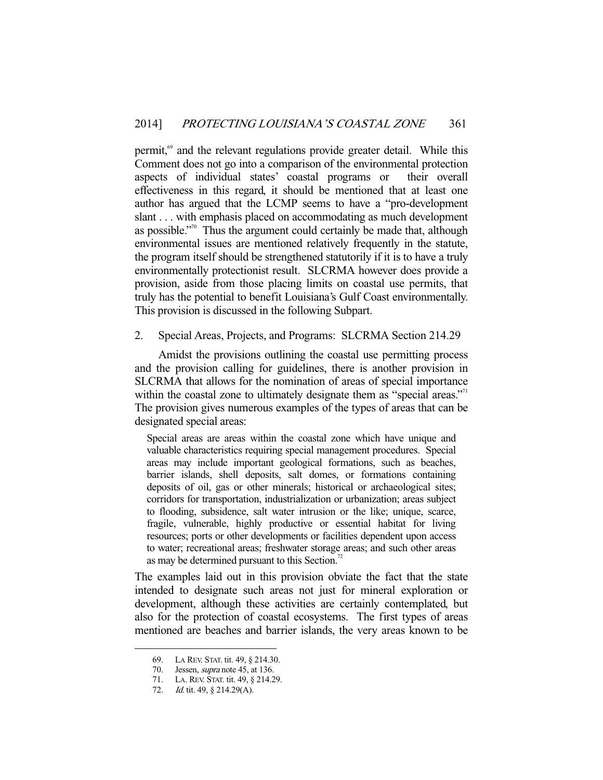permit,<sup>69</sup> and the relevant regulations provide greater detail. While this Comment does not go into a comparison of the environmental protection aspects of individual states' coastal programs or their overall effectiveness in this regard, it should be mentioned that at least one author has argued that the LCMP seems to have a "pro-development slant . . . with emphasis placed on accommodating as much development as possible."70 Thus the argument could certainly be made that, although environmental issues are mentioned relatively frequently in the statute, the program itself should be strengthened statutorily if it is to have a truly environmentally protectionist result. SLCRMA however does provide a provision, aside from those placing limits on coastal use permits, that truly has the potential to benefit Louisiana's Gulf Coast environmentally. This provision is discussed in the following Subpart.

2. Special Areas, Projects, and Programs: SLCRMA Section 214.29

 Amidst the provisions outlining the coastal use permitting process and the provision calling for guidelines, there is another provision in SLCRMA that allows for the nomination of areas of special importance within the coastal zone to ultimately designate them as "special areas."<sup>11</sup> The provision gives numerous examples of the types of areas that can be designated special areas:

Special areas are areas within the coastal zone which have unique and valuable characteristics requiring special management procedures. Special areas may include important geological formations, such as beaches, barrier islands, shell deposits, salt domes, or formations containing deposits of oil, gas or other minerals; historical or archaeological sites; corridors for transportation, industrialization or urbanization; areas subject to flooding, subsidence, salt water intrusion or the like; unique, scarce, fragile, vulnerable, highly productive or essential habitat for living resources; ports or other developments or facilities dependent upon access to water; recreational areas; freshwater storage areas; and such other areas as may be determined pursuant to this Section.<sup>72</sup>

The examples laid out in this provision obviate the fact that the state intended to designate such areas not just for mineral exploration or development, although these activities are certainly contemplated, but also for the protection of coastal ecosystems. The first types of areas mentioned are beaches and barrier islands, the very areas known to be

 <sup>69.</sup> LA REV. STAT. tit. 49, § 214.30.

<sup>70.</sup> Jessen, *supra* note 45, at 136.

 <sup>71.</sup> LA. REV. STAT. tit. 49, § 214.29.

<sup>72.</sup> *Id.* tit. 49, § 214.29(A).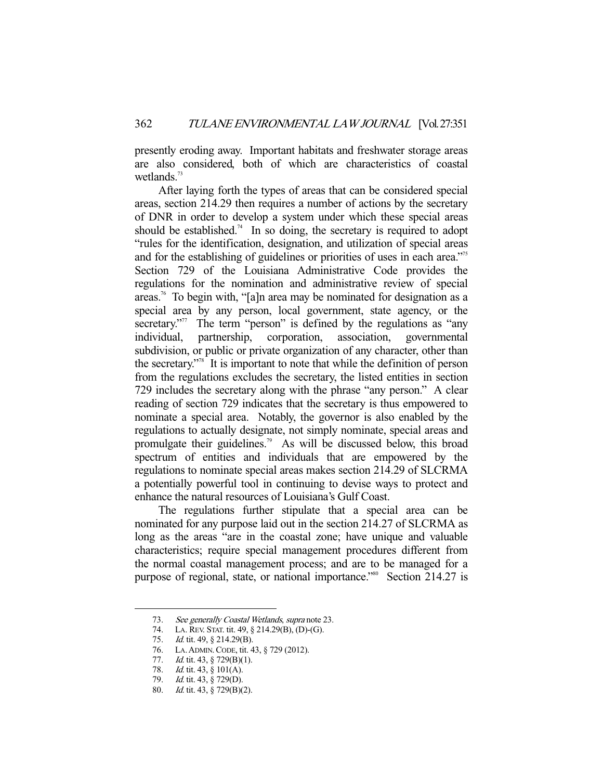presently eroding away. Important habitats and freshwater storage areas are also considered, both of which are characteristics of coastal wetlands. $73$ 

 After laying forth the types of areas that can be considered special areas, section 214.29 then requires a number of actions by the secretary of DNR in order to develop a system under which these special areas should be established.<sup>74</sup> In so doing, the secretary is required to adopt "rules for the identification, designation, and utilization of special areas and for the establishing of guidelines or priorities of uses in each area."<sup>75</sup> Section 729 of the Louisiana Administrative Code provides the regulations for the nomination and administrative review of special areas.76 To begin with, "[a]n area may be nominated for designation as a special area by any person, local government, state agency, or the secretary."<sup>77</sup> The term "person" is defined by the regulations as "any individual, partnership, corporation, association, governmental subdivision, or public or private organization of any character, other than the secretary."78 It is important to note that while the definition of person from the regulations excludes the secretary, the listed entities in section 729 includes the secretary along with the phrase "any person." A clear reading of section 729 indicates that the secretary is thus empowered to nominate a special area. Notably, the governor is also enabled by the regulations to actually designate, not simply nominate, special areas and promulgate their guidelines.<sup>79</sup> As will be discussed below, this broad spectrum of entities and individuals that are empowered by the regulations to nominate special areas makes section 214.29 of SLCRMA a potentially powerful tool in continuing to devise ways to protect and enhance the natural resources of Louisiana's Gulf Coast.

 The regulations further stipulate that a special area can be nominated for any purpose laid out in the section 214.27 of SLCRMA as long as the areas "are in the coastal zone; have unique and valuable characteristics; require special management procedures different from the normal coastal management process; and are to be managed for a purpose of regional, state, or national importance."<sup>80</sup> Section 214.27 is

<sup>73.</sup> See generally Coastal Wetlands, supra note 23.

 <sup>74.</sup> LA. REV. STAT. tit. 49, § 214.29(B), (D)-(G).

<sup>75.</sup> *Id.* tit. 49, § 214.29(B).

 <sup>76.</sup> LA.ADMIN.CODE, tit. 43, § 729 (2012).

<sup>77.</sup> *Id.* tit. 43, § 729(B)(1).

<sup>78.</sup> *Id.* tit. 43,  $\frac{9}{5}$  101(A).

 <sup>79.</sup> Id. tit. 43, § 729(D).

 <sup>80.</sup> Id. tit. 43, § 729(B)(2).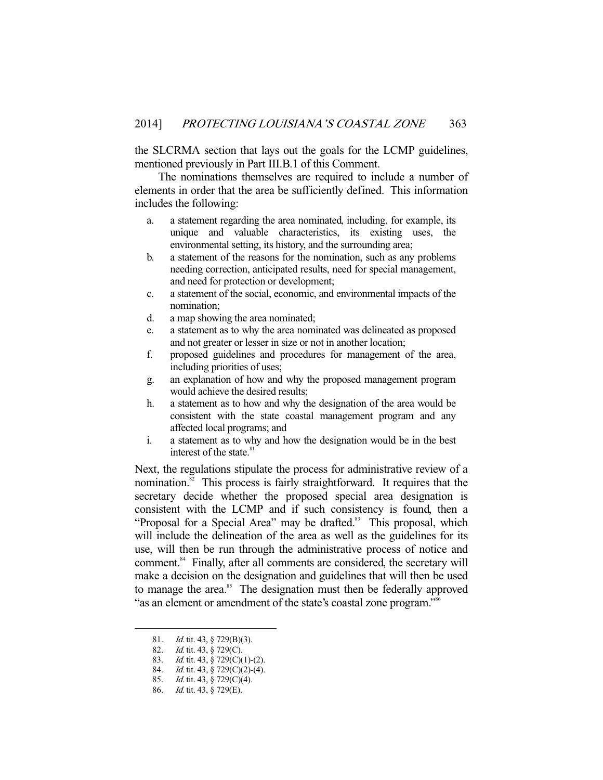the SLCRMA section that lays out the goals for the LCMP guidelines, mentioned previously in Part III.B.1 of this Comment.

 The nominations themselves are required to include a number of elements in order that the area be sufficiently defined. This information includes the following:

- a. a statement regarding the area nominated, including, for example, its unique and valuable characteristics, its existing uses, the environmental setting, its history, and the surrounding area;
- b. a statement of the reasons for the nomination, such as any problems needing correction, anticipated results, need for special management, and need for protection or development;
- c. a statement of the social, economic, and environmental impacts of the nomination;
- d. a map showing the area nominated;
- e. a statement as to why the area nominated was delineated as proposed and not greater or lesser in size or not in another location;
- f. proposed guidelines and procedures for management of the area, including priorities of uses;
- g. an explanation of how and why the proposed management program would achieve the desired results;
- h. a statement as to how and why the designation of the area would be consistent with the state coastal management program and any affected local programs; and
- i. a statement as to why and how the designation would be in the best interest of the state.<sup>81</sup>

Next, the regulations stipulate the process for administrative review of a nomination.<sup>82</sup> This process is fairly straightforward. It requires that the secretary decide whether the proposed special area designation is consistent with the LCMP and if such consistency is found, then a "Proposal for a Special Area" may be drafted.<sup>83</sup> This proposal, which will include the delineation of the area as well as the guidelines for its use, will then be run through the administrative process of notice and comment.<sup>84</sup> Finally, after all comments are considered, the secretary will make a decision on the designation and guidelines that will then be used to manage the area.<sup>85</sup> The designation must then be federally approved "as an element or amendment of the state's coastal zone program."<sup>86</sup>

<sup>81.</sup> *Id.* tit. 43, § 729(B)(3).

<sup>82.</sup> *Id.* tit. 43, § 729(C).

<sup>83.</sup> *Id.* tit. 43, § 729(C)(1)-(2).

<sup>84.</sup> *Id.* tit. 43, § 729(C)(2)-(4).

<sup>85.</sup> *Id.* tit. 43, § 729(C)(4).

 <sup>86.</sup> Id. tit. 43, § 729(E).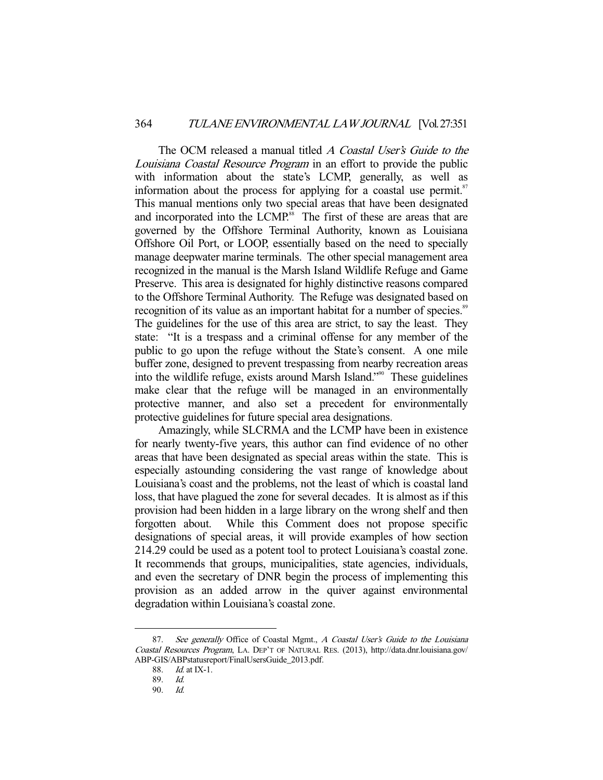The OCM released a manual titled A Coastal User's Guide to the Louisiana Coastal Resource Program in an effort to provide the public with information about the state's LCMP, generally, as well as information about the process for applying for a coastal use permit.<sup>87</sup> This manual mentions only two special areas that have been designated and incorporated into the LCMP.<sup>88</sup> The first of these are areas that are governed by the Offshore Terminal Authority, known as Louisiana Offshore Oil Port, or LOOP, essentially based on the need to specially manage deepwater marine terminals. The other special management area recognized in the manual is the Marsh Island Wildlife Refuge and Game Preserve. This area is designated for highly distinctive reasons compared to the Offshore Terminal Authority. The Refuge was designated based on recognition of its value as an important habitat for a number of species.<sup>89</sup> The guidelines for the use of this area are strict, to say the least. They state: "It is a trespass and a criminal offense for any member of the public to go upon the refuge without the State's consent. A one mile buffer zone, designed to prevent trespassing from nearby recreation areas into the wildlife refuge, exists around Marsh Island."90 These guidelines make clear that the refuge will be managed in an environmentally protective manner, and also set a precedent for environmentally protective guidelines for future special area designations.

 Amazingly, while SLCRMA and the LCMP have been in existence for nearly twenty-five years, this author can find evidence of no other areas that have been designated as special areas within the state. This is especially astounding considering the vast range of knowledge about Louisiana's coast and the problems, not the least of which is coastal land loss, that have plagued the zone for several decades. It is almost as if this provision had been hidden in a large library on the wrong shelf and then forgotten about. While this Comment does not propose specific designations of special areas, it will provide examples of how section 214.29 could be used as a potent tool to protect Louisiana's coastal zone. It recommends that groups, municipalities, state agencies, individuals, and even the secretary of DNR begin the process of implementing this provision as an added arrow in the quiver against environmental degradation within Louisiana's coastal zone.

<sup>87.</sup> See generally Office of Coastal Mgmt., A Coastal User's Guide to the Louisiana Coastal Resources Program, LA. DEP'T OF NATURAL RES. (2013), http://data.dnr.louisiana.gov/ ABP-GIS/ABPstatusreport/FinalUsersGuide\_2013.pdf.

 <sup>88.</sup> Id. at IX-1.

<sup>89.</sup> *Id.*<br>90. *Id.* 90. Id.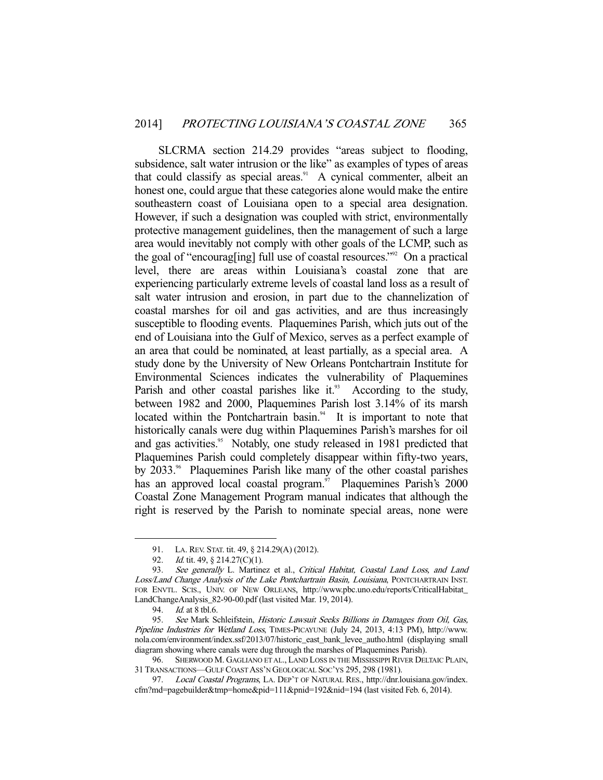SLCRMA section 214.29 provides "areas subject to flooding, subsidence, salt water intrusion or the like" as examples of types of areas that could classify as special areas.<sup>91</sup> A cynical commenter, albeit an honest one, could argue that these categories alone would make the entire southeastern coast of Louisiana open to a special area designation. However, if such a designation was coupled with strict, environmentally protective management guidelines, then the management of such a large area would inevitably not comply with other goals of the LCMP, such as the goal of "encourag[ing] full use of coastal resources."<sup>92</sup> On a practical level, there are areas within Louisiana's coastal zone that are experiencing particularly extreme levels of coastal land loss as a result of salt water intrusion and erosion, in part due to the channelization of coastal marshes for oil and gas activities, and are thus increasingly susceptible to flooding events. Plaquemines Parish, which juts out of the end of Louisiana into the Gulf of Mexico, serves as a perfect example of an area that could be nominated, at least partially, as a special area. A study done by the University of New Orleans Pontchartrain Institute for Environmental Sciences indicates the vulnerability of Plaquemines Parish and other coastal parishes like it.<sup>93</sup> According to the study, between 1982 and 2000, Plaquemines Parish lost 3.14% of its marsh located within the Pontchartrain basin.<sup>94</sup> It is important to note that historically canals were dug within Plaquemines Parish's marshes for oil and gas activities.<sup>95</sup> Notably, one study released in 1981 predicted that Plaquemines Parish could completely disappear within fifty-two years, by 2033.<sup>96</sup> Plaquemines Parish like many of the other coastal parishes has an approved local coastal program. $^{57}$  Plaquemines Parish's 2000 Coastal Zone Management Program manual indicates that although the right is reserved by the Parish to nominate special areas, none were

 <sup>91.</sup> LA. REV. STAT. tit. 49, § 214.29(A) (2012).

<sup>92.</sup> *Id.* tit. 49, § 214.27(C)(1).

<sup>93.</sup> See generally L. Martinez et al., Critical Habitat, Coastal Land Loss, and Land Loss/Land Change Analysis of the Lake Pontchartrain Basin, Louisiana, PONTCHARTRAIN INST. FOR ENVTL. SCIS., UNIV. OF NEW ORLEANS, http://www.pbc.uno.edu/reports/CriticalHabitat\_ LandChangeAnalysis\_82-90-00.pdf (last visited Mar. 19, 2014).

 <sup>94.</sup> Id. at 8 tbl.6.

 <sup>95.</sup> See Mark Schleifstein, Historic Lawsuit Seeks Billions in Damages from Oil, Gas, Pipeline Industries for Wetland Loss, TIMES-PICAYUNE (July 24, 2013, 4:13 PM), http://www. nola.com/environment/index.ssf/2013/07/historic\_east\_bank\_levee\_autho.html (displaying small diagram showing where canals were dug through the marshes of Plaquemines Parish).

 <sup>96.</sup> SHERWOOD M. GAGLIANO ET AL., LAND LOSS IN THE MISSISSIPPI RIVER DELTAIC PLAIN, 31 TRANSACTIONS—GULF COAST ASS'N GEOLOGICAL SOC'YS 295, 298 (1981).

<sup>97.</sup> Local Coastal Programs, LA. DEP'T OF NATURAL RES., http://dnr.louisiana.gov/index. cfm?md=pagebuilder&tmp=home&pid=111&pnid=192&nid=194 (last visited Feb. 6, 2014).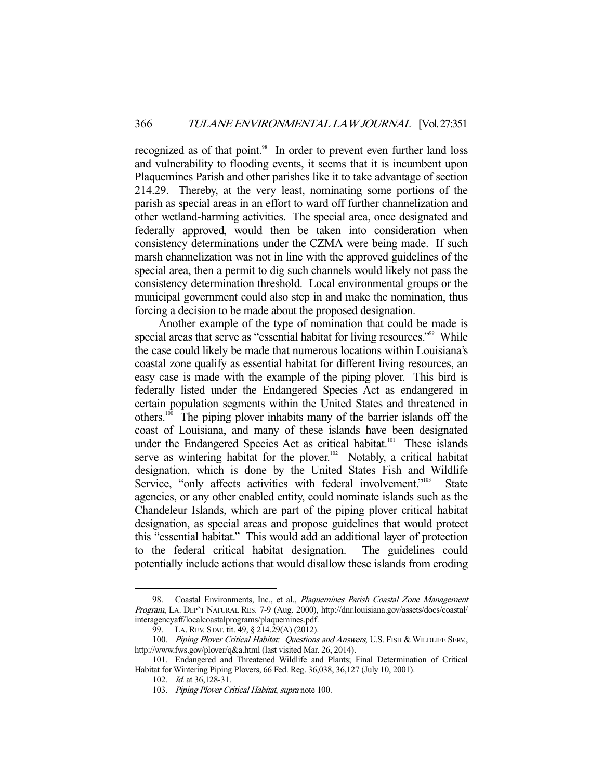recognized as of that point.<sup>98</sup> In order to prevent even further land loss and vulnerability to flooding events, it seems that it is incumbent upon Plaquemines Parish and other parishes like it to take advantage of section 214.29. Thereby, at the very least, nominating some portions of the parish as special areas in an effort to ward off further channelization and other wetland-harming activities. The special area, once designated and federally approved, would then be taken into consideration when consistency determinations under the CZMA were being made. If such marsh channelization was not in line with the approved guidelines of the special area, then a permit to dig such channels would likely not pass the consistency determination threshold. Local environmental groups or the municipal government could also step in and make the nomination, thus forcing a decision to be made about the proposed designation.

 Another example of the type of nomination that could be made is special areas that serve as "essential habitat for living resources."<sup>99</sup> While the case could likely be made that numerous locations within Louisiana's coastal zone qualify as essential habitat for different living resources, an easy case is made with the example of the piping plover. This bird is federally listed under the Endangered Species Act as endangered in certain population segments within the United States and threatened in others.100 The piping plover inhabits many of the barrier islands off the coast of Louisiana, and many of these islands have been designated under the Endangered Species Act as critical habitat.<sup>101</sup> These islands serve as wintering habitat for the plover.<sup>102</sup> Notably, a critical habitat designation, which is done by the United States Fish and Wildlife Service, "only affects activities with federal involvement."<sup>103</sup> State agencies, or any other enabled entity, could nominate islands such as the Chandeleur Islands, which are part of the piping plover critical habitat designation, as special areas and propose guidelines that would protect this "essential habitat." This would add an additional layer of protection to the federal critical habitat designation. The guidelines could potentially include actions that would disallow these islands from eroding

<sup>98.</sup> Coastal Environments, Inc., et al., Plaquemines Parish Coastal Zone Management Program, LA. DEP'T NATURAL RES. 7-9 (Aug. 2000), http://dnr.louisiana.gov/assets/docs/coastal/ interagencyaff/localcoastalprograms/plaquemines.pdf.

 <sup>99.</sup> LA. REV. STAT. tit. 49, § 214.29(A) (2012).

<sup>100.</sup> Piping Plover Critical Habitat: Questions and Answers, U.S. FISH & WILDLIFE SERV., http://www.fws.gov/plover/q&a.html (last visited Mar. 26, 2014).

 <sup>101.</sup> Endangered and Threatened Wildlife and Plants; Final Determination of Critical Habitat for Wintering Piping Plovers, 66 Fed. Reg. 36,038, 36,127 (July 10, 2001).

 <sup>102.</sup> Id. at 36,128-31.

<sup>103.</sup> Piping Plover Critical Habitat, supra note 100.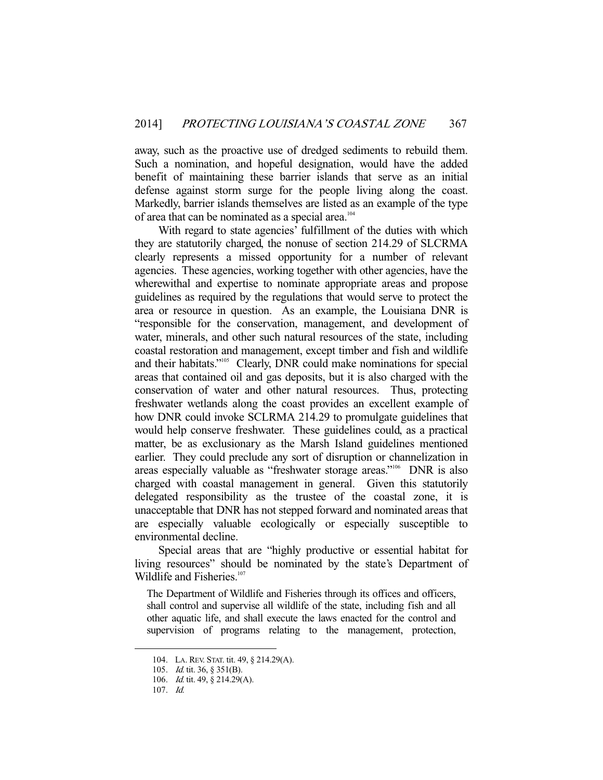away, such as the proactive use of dredged sediments to rebuild them. Such a nomination, and hopeful designation, would have the added benefit of maintaining these barrier islands that serve as an initial defense against storm surge for the people living along the coast. Markedly, barrier islands themselves are listed as an example of the type of area that can be nominated as a special area.<sup>104</sup>

 With regard to state agencies' fulfillment of the duties with which they are statutorily charged, the nonuse of section 214.29 of SLCRMA clearly represents a missed opportunity for a number of relevant agencies. These agencies, working together with other agencies, have the wherewithal and expertise to nominate appropriate areas and propose guidelines as required by the regulations that would serve to protect the area or resource in question. As an example, the Louisiana DNR is "responsible for the conservation, management, and development of water, minerals, and other such natural resources of the state, including coastal restoration and management, except timber and fish and wildlife and their habitats."<sup>105</sup> Clearly, DNR could make nominations for special areas that contained oil and gas deposits, but it is also charged with the conservation of water and other natural resources. Thus, protecting freshwater wetlands along the coast provides an excellent example of how DNR could invoke SCLRMA 214.29 to promulgate guidelines that would help conserve freshwater. These guidelines could, as a practical matter, be as exclusionary as the Marsh Island guidelines mentioned earlier. They could preclude any sort of disruption or channelization in areas especially valuable as "freshwater storage areas."<sup>106</sup> DNR is also charged with coastal management in general. Given this statutorily delegated responsibility as the trustee of the coastal zone, it is unacceptable that DNR has not stepped forward and nominated areas that are especially valuable ecologically or especially susceptible to environmental decline.

 Special areas that are "highly productive or essential habitat for living resources" should be nominated by the state's Department of Wildlife and Fisheries.<sup>107</sup>

The Department of Wildlife and Fisheries through its offices and officers, shall control and supervise all wildlife of the state, including fish and all other aquatic life, and shall execute the laws enacted for the control and supervision of programs relating to the management, protection,

 <sup>104.</sup> LA. REV. STAT. tit. 49, § 214.29(A).

 <sup>105.</sup> Id. tit. 36, § 351(B).

 <sup>106.</sup> Id. tit. 49, § 214.29(A).

 <sup>107.</sup> Id.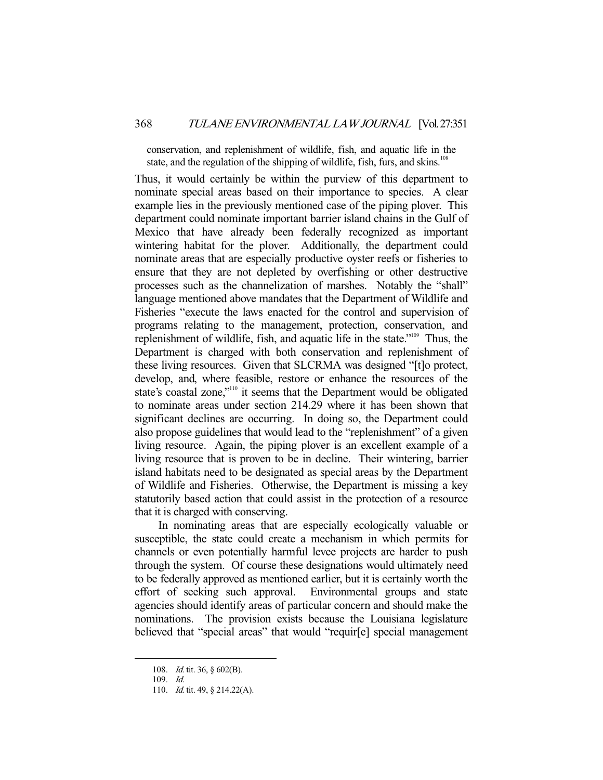conservation, and replenishment of wildlife, fish, and aquatic life in the state, and the regulation of the shipping of wildlife, fish, furs, and skins.<sup>108</sup>

Thus, it would certainly be within the purview of this department to nominate special areas based on their importance to species. A clear example lies in the previously mentioned case of the piping plover. This department could nominate important barrier island chains in the Gulf of Mexico that have already been federally recognized as important wintering habitat for the plover. Additionally, the department could nominate areas that are especially productive oyster reefs or fisheries to ensure that they are not depleted by overfishing or other destructive processes such as the channelization of marshes. Notably the "shall" language mentioned above mandates that the Department of Wildlife and Fisheries "execute the laws enacted for the control and supervision of programs relating to the management, protection, conservation, and replenishment of wildlife, fish, and aquatic life in the state."109 Thus, the Department is charged with both conservation and replenishment of these living resources. Given that SLCRMA was designed "[t]o protect, develop, and, where feasible, restore or enhance the resources of the state's coastal zone,"<sup>110</sup> it seems that the Department would be obligated to nominate areas under section 214.29 where it has been shown that significant declines are occurring. In doing so, the Department could also propose guidelines that would lead to the "replenishment" of a given living resource. Again, the piping plover is an excellent example of a living resource that is proven to be in decline. Their wintering, barrier island habitats need to be designated as special areas by the Department of Wildlife and Fisheries. Otherwise, the Department is missing a key statutorily based action that could assist in the protection of a resource that it is charged with conserving.

 In nominating areas that are especially ecologically valuable or susceptible, the state could create a mechanism in which permits for channels or even potentially harmful levee projects are harder to push through the system. Of course these designations would ultimately need to be federally approved as mentioned earlier, but it is certainly worth the effort of seeking such approval. Environmental groups and state agencies should identify areas of particular concern and should make the nominations. The provision exists because the Louisiana legislature believed that "special areas" that would "requir[e] special management

<sup>108.</sup> *Id.* tit. 36, § 602(B).

 <sup>109.</sup> Id.

<sup>110.</sup> *Id.* tit. 49, § 214.22(A).